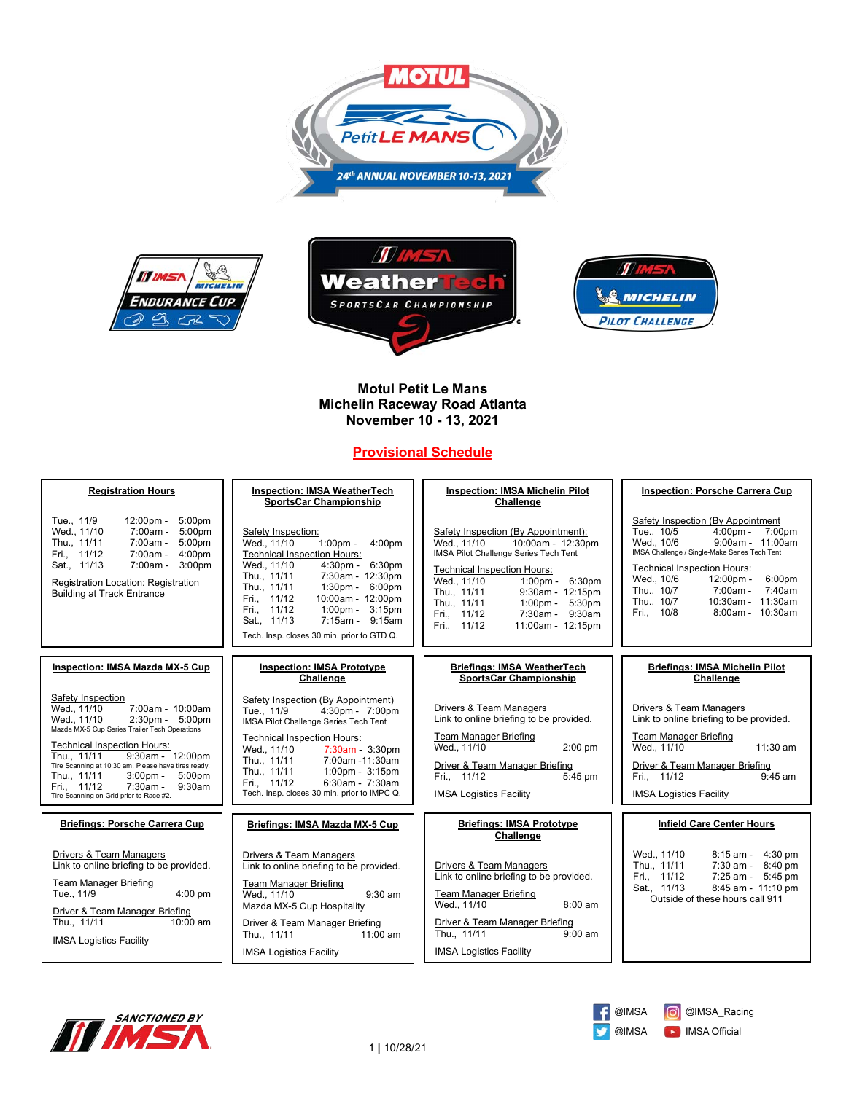







# **Motul Petit Le Mans Michelin Raceway Road Atlanta November 10 - 13, 2021**

# **Provisional Schedule**

| <b>Registration Hours</b>                                                                                                                                                                                                                                                                                                                                                                                                         | <b>Inspection: IMSA WeatherTech</b><br><b>SportsCar Championship</b>                                                                                                                                                                                                                                                                                                                                          | <b>Inspection: IMSA Michelin Pilot</b><br>Challenge                                                                                                                                                                                                                                                                                                                             | <b>Inspection: Porsche Carrera Cup</b>                                                                                                                                                                                                                                                                                                                   |
|-----------------------------------------------------------------------------------------------------------------------------------------------------------------------------------------------------------------------------------------------------------------------------------------------------------------------------------------------------------------------------------------------------------------------------------|---------------------------------------------------------------------------------------------------------------------------------------------------------------------------------------------------------------------------------------------------------------------------------------------------------------------------------------------------------------------------------------------------------------|---------------------------------------------------------------------------------------------------------------------------------------------------------------------------------------------------------------------------------------------------------------------------------------------------------------------------------------------------------------------------------|----------------------------------------------------------------------------------------------------------------------------------------------------------------------------------------------------------------------------------------------------------------------------------------------------------------------------------------------------------|
| Tue., 11/9<br>5:00pm<br>12:00pm -<br>Wed., 11/10<br>7:00am -<br>5:00 <sub>pm</sub><br>Thu., 11/11<br>7:00am -<br>5:00 <sub>pm</sub><br>Fri., 11/12<br>7:00am -<br>4:00pm<br>7:00am - 3:00pm<br>Sat., 11/13<br>Registration Location: Registration<br><b>Building at Track Entrance</b>                                                                                                                                            | Safety Inspection:<br>Wed., 11/10<br>$1:00 \text{pm} -$<br>4:00pm<br><b>Technical Inspection Hours:</b><br>Wed., 11/10<br>6:30pm<br>$4:30pm -$<br>Thu., 11/11<br>7:30am - 12:30pm<br>Thu., 11/11<br>$1:30 \text{pm} - 6:00 \text{pm}$<br>Fri., 11/12<br>10:00am - 12:00pm<br>Fri., 11/12<br>$1:00 \text{pm} - 3:15 \text{pm}$<br>Sat., 11/13<br>7:15am - 9:15am<br>Tech. Insp. closes 30 min. prior to GTD Q. | Safety Inspection (By Appointment):<br>10:00am - 12:30pm<br>Wed., 11/10<br>IMSA Pilot Challenge Series Tech Tent<br><b>Technical Inspection Hours:</b><br>Wed., 11/10<br>$1:00 \,\mathrm{pm} - 6:30 \,\mathrm{pm}$<br>Thu., 11/11<br>9:30am - 12:15pm<br>Thu., 11/11<br>$1:00 \text{pm} - 5:30 \text{pm}$<br>Fri., 11/12<br>7:30am - 9:30am<br>Fri., 11/12<br>11:00am - 12:15pm | Safety Inspection (By Appointment<br>Tue., 10/5<br>$4:00pm$ -<br>7:00pm<br>Wed., 10/6<br>9:00am - 11:00am<br>IMSA Challenge / Single-Make Series Tech Tent<br><b>Technical Inspection Hours:</b><br>Wed., 10/6<br>$12:00 \text{pm} -$<br>6:00pm<br>Thu., 10/7<br>7:00am -<br>7:40am<br>Thu., 10/7<br>10:30am - 11:30am<br>Fri., 10/8<br>8:00am - 10:30am |
| <b>Inspection: IMSA Mazda MX-5 Cup</b>                                                                                                                                                                                                                                                                                                                                                                                            | <b>Inspection: IMSA Prototype</b><br>Challenge                                                                                                                                                                                                                                                                                                                                                                | <b>Briefings: IMSA WeatherTech</b><br><b>SportsCar Championship</b>                                                                                                                                                                                                                                                                                                             | <b>Briefings: IMSA Michelin Pilot</b><br>Challenge                                                                                                                                                                                                                                                                                                       |
| Safety Inspection<br>Wed., 11/10<br>7:00am - 10:00am<br>$2:30 \text{pm} - 5:00 \text{pm}$<br>Wed., 11/10<br>Mazda MX-5 Cup Series Trailer Tech Operations<br><b>Technical Inspection Hours:</b><br>9:30am - 12:00pm<br>Thu., 11/11<br>Tire Scanning at 10:30 am. Please have tires ready.<br>Thu., 11/11<br>$3:00pm -$<br>5:00 <sub>pm</sub><br>Fri., 11/12<br>$7:30am -$<br>$9:30$ am<br>Tire Scanning on Grid prior to Race #2. | Safety Inspection (By Appointment)<br>Tue., 11/9<br>4:30pm - 7:00pm<br>IMSA Pilot Challenge Series Tech Tent<br><b>Technical Inspection Hours:</b><br>Wed., 11/10<br>7:30am - 3:30pm<br>7:00am -11:30am<br>Thu., 11/11<br>Thu., 11/11<br>$1:00$ pm - $3:15$ pm<br>6:30am - 7:30am<br>Fri., 11/12<br>Tech. Insp. closes 30 min. prior to IMPC Q.                                                               | <b>Drivers &amp; Team Managers</b><br>Link to online briefing to be provided.<br>Team Manager Briefing<br>Wed., 11/10<br>$2:00$ pm<br>Driver & Team Manager Briefing<br>Fri., 11/12<br>5:45 pm<br><b>IMSA Logistics Facility</b>                                                                                                                                                | <b>Drivers &amp; Team Managers</b><br>Link to online briefing to be provided.<br><b>Team Manager Briefing</b><br>Wed., 11/10<br>$11:30$ am<br>Driver & Team Manager Briefing<br>Fri., 11/12<br>$9:45$ am<br><b>IMSA Logistics Facility</b>                                                                                                               |
| <b>Briefings: Porsche Carrera Cup</b>                                                                                                                                                                                                                                                                                                                                                                                             | Briefings: IMSA Mazda MX-5 Cup                                                                                                                                                                                                                                                                                                                                                                                | <b>Briefings: IMSA Prototype</b><br>Challenge                                                                                                                                                                                                                                                                                                                                   | <b>Infield Care Center Hours</b>                                                                                                                                                                                                                                                                                                                         |
| Drivers & Team Managers<br>Link to online briefing to be provided.<br><b>Team Manager Briefing</b><br>Tue., 11/9<br>$4:00$ pm<br>Driver & Team Manager Briefing<br>Thu., 11/11<br>$10:00$ am<br><b>IMSA Logistics Facility</b>                                                                                                                                                                                                    | Drivers & Team Managers<br>Link to online briefing to be provided.<br><b>Team Manager Briefing</b><br>Wed., 11/10<br>$9:30$ am<br>Mazda MX-5 Cup Hospitality<br>Driver & Team Manager Briefing<br>Thu., 11/11<br>$11:00$ am<br><b>IMSA Logistics Facility</b>                                                                                                                                                 | Drivers & Team Managers<br>Link to online briefing to be provided.<br><b>Team Manager Briefing</b><br>Wed., 11/10<br>$8:00$ am<br>Driver & Team Manager Briefing<br>Thu., 11/11<br>$9:00$ am<br><b>IMSA Logistics Facility</b>                                                                                                                                                  | Wed., 11/10<br>8:15 am - 4:30 pm<br>Thu., 11/11<br>7:30 am - 8:40 pm<br>Fri., 11/12<br>7:25 am - 5:45 pm<br>Sat., 11/13<br>8:45 am - 11:10 pm<br>Outside of these hours call 911                                                                                                                                                                         |



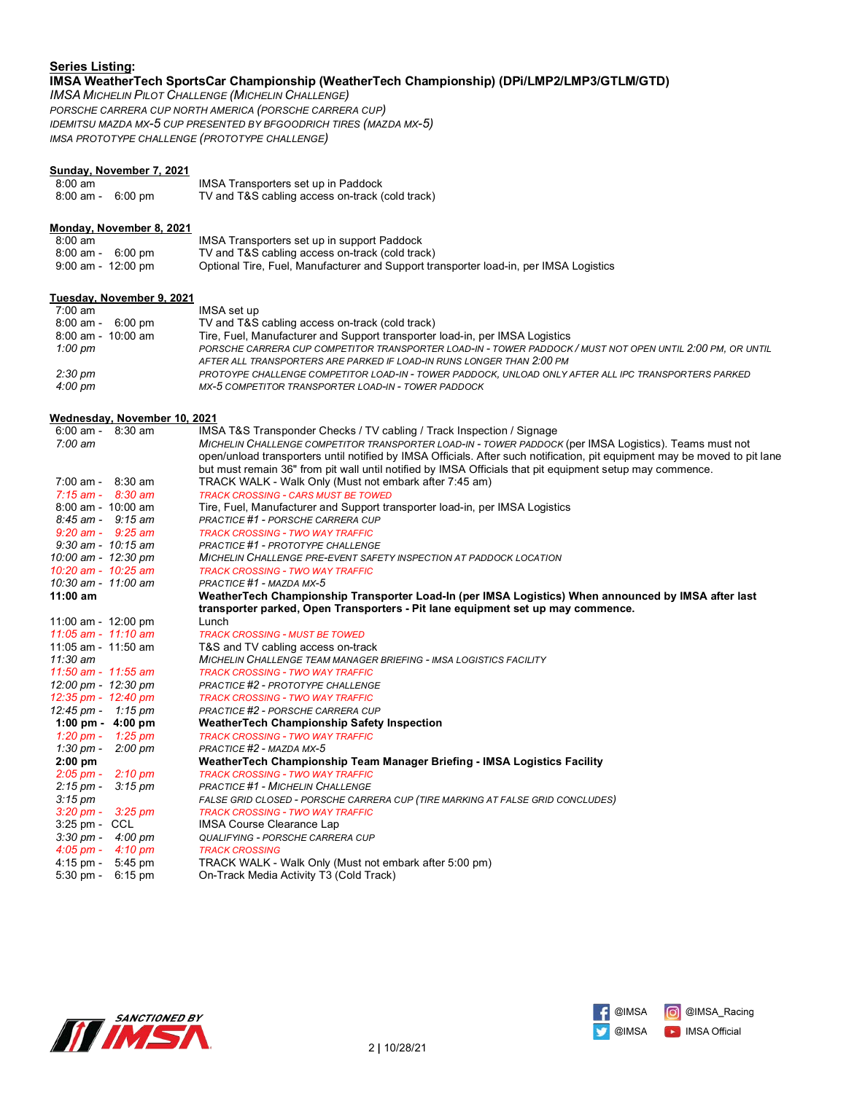### **Series Listing: IMSA WeatherTech SportsCar Championship (WeatherTech Championship) (DPi/LMP2/LMP3/GTLM/GTD)**

*IMSA MICHELIN PILOT CHALLENGE (MICHELIN CHALLENGE) PORSCHE CARRERA CUP NORTH AMERICA (PORSCHE CARRERA CUP) IDEMITSU MAZDA MX-5 CUP PRESENTED BY BFGOODRICH TIRES (MAZDA MX-5) IMSA PROTOTYPE CHALLENGE (PROTOTYPE CHALLENGE)*

### **Sunday, November 7, 2021**

| $8:00 \text{ am}$                   | IMSA Transporters set up in Paddock             |
|-------------------------------------|-------------------------------------------------|
| $8:00 \text{ am} - 6:00 \text{ pm}$ | TV and T&S cabling access on-track (cold track) |

### **Monday, November 8, 2021**

| $8:00 \text{ am}$  | IMSA Transporters set up in support Paddock                                           |
|--------------------|---------------------------------------------------------------------------------------|
| 8:00 am - 6:00 pm  | TV and T&S cabling access on-track (cold track)                                       |
| 9:00 am - 12:00 pm | Optional Tire, Fuel, Manufacturer and Support transporter load-in, per IMSA Logistics |

#### **Tuesday, November 9, 2021**

| 7:00 am                | IMSA set up                                                                                              |
|------------------------|----------------------------------------------------------------------------------------------------------|
| 8:00 am -<br>6:00 pm   | TV and T&S cabling access on-track (cold track)                                                          |
| $8:00$ am - $10:00$ am | Tire, Fuel, Manufacturer and Support transporter load-in, per IMSA Logistics                             |
| 1:00 pm                | PORSCHE CARRERA CUP COMPETITOR TRANSPORTER LOAD-IN - TOWER PADDOCK/MUST NOT OPEN UNTIL 2:00 PM, OR UNTIL |
|                        | AFTER ALL TRANSPORTERS ARE PARKED IF LOAD-IN RUNS LONGER THAN 2:00 PM                                    |
| 2:30 pm                | PROTOYPE CHALLENGE COMPETITOR LOAD-IN - TOWER PADDOCK, UNLOAD ONLY AFTER ALL IPC TRANSPORTERS PARKED     |
| $4:00 \text{ pm}$      | MX-5 COMPETITOR TRANSPORTER LOAD-IN - TOWER PADDOCK                                                      |

#### **Wednesday, November 10, 2021**

| $6:00$ am - $8:30$ am                     | IMSA T&S Transponder Checks / TV cabling / Track Inspection / Signage                                                      |
|-------------------------------------------|----------------------------------------------------------------------------------------------------------------------------|
| $7:00 \text{ am}$                         | MICHELIN CHALLENGE COMPETITOR TRANSPORTER LOAD-IN - TOWER PADDOCK (per IMSA Logistics). Teams must not                     |
|                                           | open/unload transporters until notified by IMSA Officials. After such notification, pit equipment may be moved to pit lane |
|                                           | but must remain 36" from pit wall until notified by IMSA Officials that pit equipment setup may commence.                  |
| $7:00$ am - $8:30$ am                     | TRACK WALK - Walk Only (Must not embark after 7:45 am)                                                                     |
| $7:15$ am - $8:30$ am                     | <b>TRACK CROSSING - CARS MUST BE TOWED</b>                                                                                 |
| $8:00$ am - $10:00$ am                    | Tire, Fuel, Manufacturer and Support transporter load-in, per IMSA Logistics                                               |
| $8:45$ am - $9:15$ am                     | PRACTICE #1 - PORSCHE CARRERA CUP                                                                                          |
| $9:20$ am - $9:25$ am                     | <b>TRACK CROSSING - TWO WAY TRAFFIC</b>                                                                                    |
| $9:30$ am - $10:15$ am                    | PRACTICE #1 - PROTOTYPE CHALLENGE                                                                                          |
| 10:00 am - 12:30 pm                       | MICHELIN CHALLENGE PRE-EVENT SAFETY INSPECTION AT PADDOCK LOCATION                                                         |
| 10:20 am - 10:25 am                       | <b>TRACK CROSSING - TWO WAY TRAFFIC</b>                                                                                    |
| 10:30 am - 11:00 am                       | PRACTICE #1 - MAZDA MX-5                                                                                                   |
| $11:00$ am                                | WeatherTech Championship Transporter Load-In (per IMSA Logistics) When announced by IMSA after last                        |
|                                           | transporter parked, Open Transporters - Pit lane equipment set up may commence.                                            |
| 11:00 am - 12:00 pm                       | Lunch                                                                                                                      |
| $11:05$ am - $11:10$ am                   | <b>TRACK CROSSING - MUST BE TOWED</b>                                                                                      |
| 11:05 am - 11:50 am                       | T&S and TV cabling access on-track                                                                                         |
| 11:30 am                                  | MICHELIN CHALLENGE TEAM MANAGER BRIEFING - IMSA LOGISTICS FACILITY                                                         |
| 11:50 am - 11:55 am                       | <b>TRACK CROSSING - TWO WAY TRAFFIC</b>                                                                                    |
| 12:00 pm - 12:30 pm                       | PRACTICE #2 - PROTOTYPE CHALLENGE                                                                                          |
| 12:35 pm - $12:40$ pm                     | <b>TRACK CROSSING - TWO WAY TRAFFIC</b>                                                                                    |
| $12:45 \text{ pm} - 1:15 \text{ pm}$      | PRACTICE #2 - PORSCHE CARRERA CUP                                                                                          |
| 1:00 pm - $4:00$ pm                       | <b>WeatherTech Championship Safety Inspection</b>                                                                          |
| 1:20 pm - 1:25 pm                         | <b>TRACK CROSSING - TWO WAY TRAFFIC</b>                                                                                    |
| 1:30 pm -<br>2:00 pm                      | PRACTICE #2 - MAZDA MX-5                                                                                                   |
| $2:00$ pm                                 | WeatherTech Championship Team Manager Briefing - IMSA Logistics Facility                                                   |
| $2:05 \text{ pm} - 2:10 \text{ pm}$       | <b>TRACK CROSSING - TWO WAY TRAFFIC</b>                                                                                    |
| $2:15 \text{ pm} -$<br>$3:15 \text{ pm}$  | <b>PRACTICE #1 - MICHELIN CHALLENGE</b>                                                                                    |
| $3:15 \text{ pm}$                         | FALSE GRID CLOSED - PORSCHE CARRERA CUP (TIRE MARKING AT FALSE GRID CONCLUDES)                                             |
| $3:20 \text{ pm} -$<br>$3:25 \text{ pm}$  | <b>TRACK CROSSING - TWO WAY TRAFFIC</b>                                                                                    |
| $3:25$ pm - CCL                           | <b>IMSA Course Clearance Lap</b>                                                                                           |
| $4:00~\mathrm{pm}$<br>$3:30 \text{ pm} -$ | QUALIFYING - PORSCHE CARRERA CUP                                                                                           |
| $4:05 \text{ pm } -$<br>4:10 pm           | <b>TRACK CROSSING</b>                                                                                                      |
| $4:15 \text{ pm} - 5:45 \text{ pm}$       | TRACK WALK - Walk Only (Must not embark after 5:00 pm)                                                                     |
| $5:30$ pm -<br>$6:15 \text{ pm}$          | On-Track Media Activity T3 (Cold Track)                                                                                    |
|                                           |                                                                                                                            |



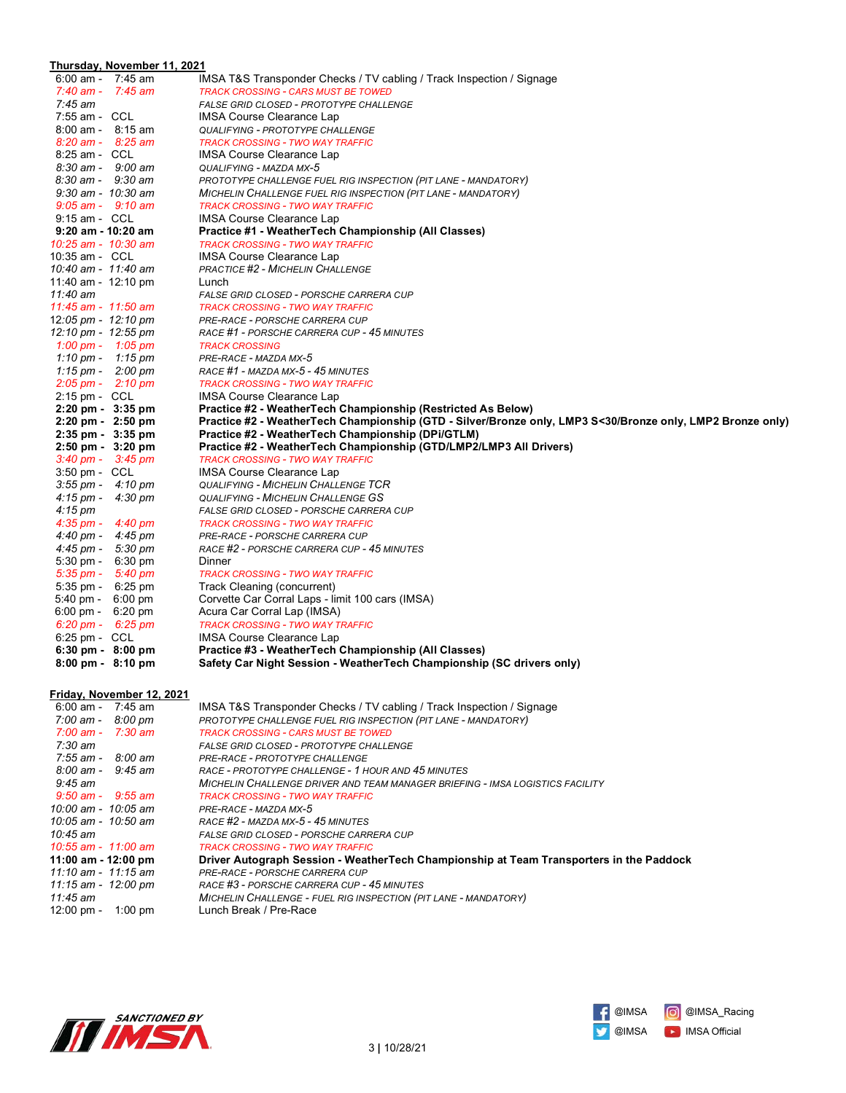# **Thursday, November 11, 2021**

| $6:00$ am - 7:45 am                       |                           | IMSA T&S Transponder Checks / TV cabling / Track Inspection / Signage                                      |
|-------------------------------------------|---------------------------|------------------------------------------------------------------------------------------------------------|
| $7:40$ am - $7:45$ am                     |                           | <b>TRACK CROSSING - CARS MUST BE TOWED</b>                                                                 |
| $7:45$ am                                 |                           | FALSE GRID CLOSED - PROTOTYPE CHALLENGE                                                                    |
| 7:55 am - CCL                             |                           | IMSA Course Clearance Lap                                                                                  |
| $8:00$ am - $8:15$ am                     |                           | QUALIFYING - PROTOTYPE CHALLENGE                                                                           |
| $8:20$ am - $8:25$ am                     |                           | <b>TRACK CROSSING - TWO WAY TRAFFIC</b>                                                                    |
| 8:25 am - CCL                             |                           | IMSA Course Clearance Lap                                                                                  |
| $8:30$ am - $9:00$ am                     |                           | QUALIFYING - MAZDA MX-5                                                                                    |
| $8:30 \text{ am} - 9:30 \text{ am}$       |                           | PROTOTYPE CHALLENGE FUEL RIG INSPECTION (PIT LANE - MANDATORY)                                             |
| $9:30$ am - $10:30$ am                    |                           | MICHELIN CHALLENGE FUEL RIG INSPECTION (PIT LANE - MANDATORY)                                              |
| $9:05$ am - $9:10$ am                     |                           | <b>TRACK CROSSING - TWO WAY TRAFFIC</b>                                                                    |
| 9:15 am - CCL                             |                           | <b>IMSA Course Clearance Lap</b>                                                                           |
| $9:20$ am - 10:20 am                      |                           | Practice #1 - WeatherTech Championship (All Classes)                                                       |
| 10:25 am - 10:30 am                       |                           | <b>TRACK CROSSING - TWO WAY TRAFFIC</b>                                                                    |
| 10:35 am - CCL                            |                           | <b>IMSA Course Clearance Lap</b>                                                                           |
| 10:40 am - 11:40 am                       |                           | <b>PRACTICE #2 - MICHELIN CHALLENGE</b>                                                                    |
| 11:40 am - 12:10 pm                       |                           | Lunch                                                                                                      |
| 11:40 am                                  |                           | FALSE GRID CLOSED - PORSCHE CARRERA CUP                                                                    |
| 11:45 am - 11:50 am                       |                           | <b>TRACK CROSSING - TWO WAY TRAFFIC</b>                                                                    |
| 12:05 pm - $12:10$ pm                     |                           | PRE-RACE - PORSCHE CARRERA CUP                                                                             |
| 12:10 pm - 12:55 pm                       |                           | RACE #1 - PORSCHE CARRERA CUP - 45 MINUTES                                                                 |
| 1:00 pm - 1:05 pm                         |                           | <b>TRACK CROSSING</b>                                                                                      |
| 1:10 pm - 1:15 pm                         |                           | PRE-RACE - MAZDA MX-5                                                                                      |
| 1:15 pm - $2:00$ pm                       |                           | RACE #1 - MAZDA MX-5 - 45 MINUTES                                                                          |
| $2:05 \text{ pm} - 2:10 \text{ pm}$       |                           | <b>TRACK CROSSING - TWO WAY TRAFFIC</b>                                                                    |
| 2:15 pm - CCL                             |                           | <b>IMSA Course Clearance Lap</b>                                                                           |
| $2:20 \text{ pm} - 3:35 \text{ pm}$       |                           | Practice #2 - WeatherTech Championship (Restricted As Below)                                               |
| 2:20 pm - 2:50 pm                         |                           | Practice #2 - WeatherTech Championship (GTD - Silver/Bronze only, LMP3 S<30/Bronze only, LMP2 Bronze only) |
| 2:35 pm - 3:35 pm                         |                           | Practice #2 - WeatherTech Championship (DPi/GTLM)                                                          |
| $2:50 \text{ pm} - 3:20 \text{ pm}$       |                           | Practice #2 - WeatherTech Championship (GTD/LMP2/LMP3 All Drivers)                                         |
| $3:40 \text{ pm} - 3:45 \text{ pm}$       |                           | <b>TRACK CROSSING - TWO WAY TRAFFIC</b>                                                                    |
| 3:50 pm - CCL                             |                           | <b>IMSA Course Clearance Lap</b>                                                                           |
| $3:55 \, \text{pm}$ - $4:10 \, \text{pm}$ |                           | <b>QUALIFYING - MICHELIN CHALLENGE TCR</b>                                                                 |
| $4:15 \text{ pm} - 4:30 \text{ pm}$       |                           | <b>QUALIFYING - MICHELIN CHALLENGE GS</b>                                                                  |
| $4:15 \text{ pm}$                         |                           | FALSE GRID CLOSED - PORSCHE CARRERA CUP                                                                    |
| $4:35 \text{ pm} - 4:40 \text{ pm}$       |                           | <b>TRACK CROSSING - TWO WAY TRAFFIC</b>                                                                    |
| 4:40 pm - $4:45$ pm                       |                           | PRE-RACE - PORSCHE CARRERA CUP                                                                             |
| 4:45 pm - 5:30 pm                         |                           | RACE #2 - PORSCHE CARRERA CUP - 45 MINUTES                                                                 |
| $5:30 \text{ pm} - 6:30 \text{ pm}$       |                           | Dinner                                                                                                     |
| $5:35 \text{ pm} - 5:40 \text{ pm}$       |                           | <b>TRACK CROSSING - TWO WAY TRAFFIC</b>                                                                    |
| $5:35 \text{ pm} - 6:25 \text{ pm}$       |                           | Track Cleaning (concurrent)                                                                                |
| $5:40 \text{ pm} - 6:00 \text{ pm}$       |                           | Corvette Car Corral Laps - limit 100 cars (IMSA)                                                           |
| $6:00 \text{ pm} - 6:20 \text{ pm}$       |                           | Acura Car Corral Lap (IMSA)                                                                                |
| $6:20 \text{ pm} - 6:25 \text{ pm}$       |                           | <b>TRACK CROSSING - TWO WAY TRAFFIC</b>                                                                    |
| 6:25 pm - CCL                             |                           | <b>IMSA Course Clearance Lap</b>                                                                           |
| $6:30 \text{ pm} - 8:00 \text{ pm}$       |                           | Practice #3 - WeatherTech Championship (All Classes)                                                       |
| $8:00 \text{ pm} - 8:10 \text{ pm}$       |                           | Safety Car Night Session - WeatherTech Championship (SC drivers only)                                      |
|                                           | Friday, November 12, 2021 |                                                                                                            |
| $6:00$ am - 7:45 am                       |                           | IMSA T&S Transponder Checks / TV cabling / Track Inspection / Signage                                      |
| $7.00 \text{ nm}$ $8.00 \text{ nm}$       |                           | BBOTOTVBE CHALLENCE ELIEL BIC INSBECTION (BIT LANE - MANDATOBY)                                            |

| $6.00$ am -<br>7:45 am              | IMSA T&S Transponder Checks / TV cabling / Track Inspection / Signage                   |
|-------------------------------------|-----------------------------------------------------------------------------------------|
| 7:00 am -<br>8:00 pm                | PROTOTYPE CHALLENGE FUEL RIG INSPECTION (PIT LANE - MANDATORY)                          |
| 7:00 am - 7:30 am                   | TRACK CROSSING - CARS MUST BE TOWED                                                     |
| 7:30 am                             | FALSE GRID CLOSED - PROTOTYPE CHALLENGE                                                 |
| $7:55$ am - $8:00$ am               | PRE-RACE - PROTOTYPE CHALLENGE                                                          |
| $8:00 \text{ am} - 9:45 \text{ am}$ | RACE - PROTOTYPE CHALLENGE - 1 HOUR AND 45 MINUTES                                      |
| 9:45 am                             | MICHELIN CHALLENGE DRIVER AND TEAM MANAGER BRIEFING - IMSA LOGISTICS FACILITY           |
| $9:50$ am - $9:55$ am               | TRACK CROSSING - TWO WAY TRAFFIC                                                        |
| $10:00$ am - $10:05$ am             | PRE-RACE - MAZDA MX-5                                                                   |
| 10:05 am - 10:50 am                 | RACE #2 - MAZDA MX-5 - 45 MINUTES                                                       |
| $10:45$ am                          | FALSE GRID CLOSED - PORSCHE CARRERA CUP                                                 |
| 10:55 am - 11:00 am                 | TRACK CROSSING - TWO WAY TRAFFIC                                                        |
| 11:00 am - 12:00 pm                 | Driver Autograph Session - WeatherTech Championship at Team Transporters in the Paddock |
| 11:10 am - 11:15 am                 | PRE-RACE - PORSCHE CARRERA CUP                                                          |
| 11:15 am - 12:00 pm                 | RACE #3 - PORSCHE CARRERA CUP - 45 MINUTES                                              |
| 11:45 am                            | MICHELIN CHALLENGE - FUEL RIG INSPECTION (PIT LANE - MANDATORY)                         |
| $12:00 \text{ pm} -$<br>$1:00$ pm   | Lunch Break / Pre-Race                                                                  |
|                                     |                                                                                         |



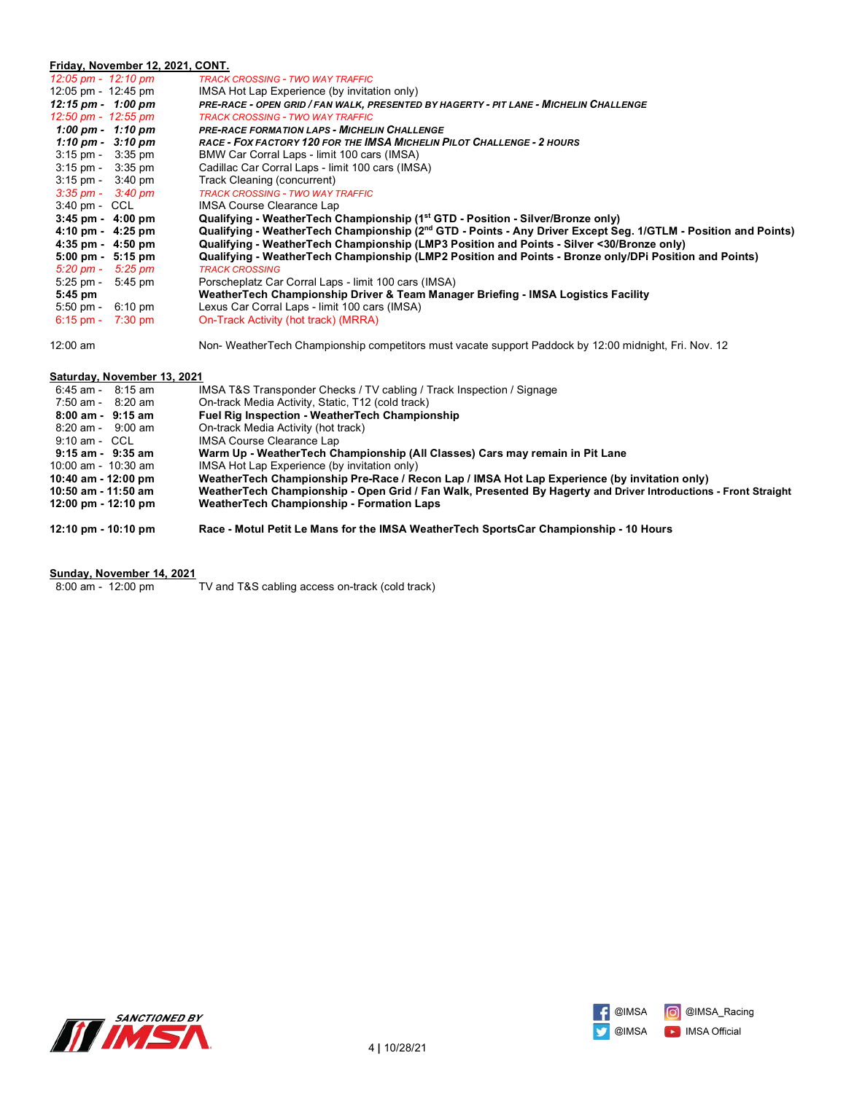#### **Friday, November 12, 2021, CONT.** *12:05 pm - 12:10 pm TRACK CROSSING - TWO WAY TRAFFIC* 12:05 pm - 12:45 pm IMSA Hot Lap Experience (by invitation only)<br>12:15 pm - 1:00 pm PRE-RACE - OPEN GRID / FAN WALK, PRESENTED *12:15 pm - 1:00 pm PRE-RACE - OPEN GRID / FAN WALK, PRESENTED BY HAGERTY - PIT LANE - MICHELIN CHALLENGE 12:50 pm - 12:55 pm TRACK CROSSING - TWO WAY TRAFFIC* **PRE-RACE FORMATION LAPS - MICHELIN CHALLENGE**  *1:10 pm - 3:10 pm RACE - FOX FACTORY 120 FOR THE IMSA MICHELIN PILOT CHALLENGE - 2 HOURS*  3:15 pm - 3:35 pm BMW Car Corral Laps - limit 100 cars (IMSA)<br>3:15 pm - 3:35 pm - Cadillac Car Corral Laps - limit 100 cars (IMS<br>3:15 pm - 3:40 pm - Track Cleaning (concurrent) Cadillac Car Corral Laps - limit 100 cars (IMSA) Track Cleaning (concurrent)  *3:35 pm - 3:40 pm TRACK CROSSING - TWO WAY TRAFFIC* 3:40 pm - CCL IMSA Course Clearance Lap<br>3:45 pm - 4:00 pm **Qualifying - WeatherTech C**<br>4:10 pm - 4:25 pm **Qualifying - WeatherTech C 3:45 pm - 4:00 pm Qualifying - WeatherTech Championship (1st GTD - Position - Silver/Bronze only) 4:10 pm - 4:25 pm Qualifying - WeatherTech Championship (2nd GTD - Points - Any Driver Except Seg. 1/GTLM - Position and Points) 4:35 pm - 4:50 pm Qualifying - WeatherTech Championship (LMP3 Position and Points - Silver <30/Bronze only) 5:00 pm - 5:15 pm Qualifying - WeatherTech Championship (LMP2 Position and Points - Bronze only/DPi Position and Points)**  *5:20 pm - 5:25 pm TRACK CROSSING* 5:25 pm - 5:45 pm - Porscheplatz Car Corral Laps - limit 100 cars (IMSA)<br>5:45 pm - Weather Tech Championship Driver & Team Mana  **5:45 pm WeatherTech Championship Driver & Team Manager Briefing - IMSA Logistics Facility** Lexus Car Corral Laps - limit 100 cars (IMSA) 6:15 pm - 7:30 pm On-Track Activity (hot track) (MRRA)

12:00 am Non- WeatherTech Championship competitors must vacate support Paddock by 12:00 midnight, Fri. Nov. 12

### **Saturday, November 13, 2021**

| $6:45$ am - $8:15$ am                 | IMSA T&S Transponder Checks / TV cabling / Track Inspection / Signage                                           |
|---------------------------------------|-----------------------------------------------------------------------------------------------------------------|
| $7:50$ am - $8:20$ am                 | On-track Media Activity, Static, T12 (cold track)                                                               |
| 8:00 am - 9:15 am                     | <b>Fuel Rig Inspection - WeatherTech Championship</b>                                                           |
| $8:20 \text{ am} - 9:00 \text{ am}$   | On-track Media Activity (hot track)                                                                             |
| $9:10$ am - CCL                       | IMSA Course Clearance Lap                                                                                       |
| $9:15$ am - $9:35$ am                 | Warm Up - WeatherTech Championship (All Classes) Cars may remain in Pit Lane                                    |
| 10:00 am - $10:30$ am                 | IMSA Hot Lap Experience (by invitation only)                                                                    |
| 10:40 am - 12:00 pm                   | WeatherTech Championship Pre-Race / Recon Lap / IMSA Hot Lap Experience (by invitation only)                    |
| 10:50 am - 11:50 am                   | WeatherTech Championship - Open Grid / Fan Walk, Presented By Hagerty and Driver Introductions - Front Straight |
| $12:00 \text{ pm} - 12:10 \text{ pm}$ | <b>WeatherTech Championship - Formation Laps</b>                                                                |
| $12:10 \text{ pm} - 10:10 \text{ pm}$ | Race - Motul Petit Le Mans for the IMSA WeatherTech SportsCar Championship - 10 Hours                           |

#### **Sunday, November 14, 2021**

8:00 am - 12:00 pm TV and T&S cabling access on-track (cold track)



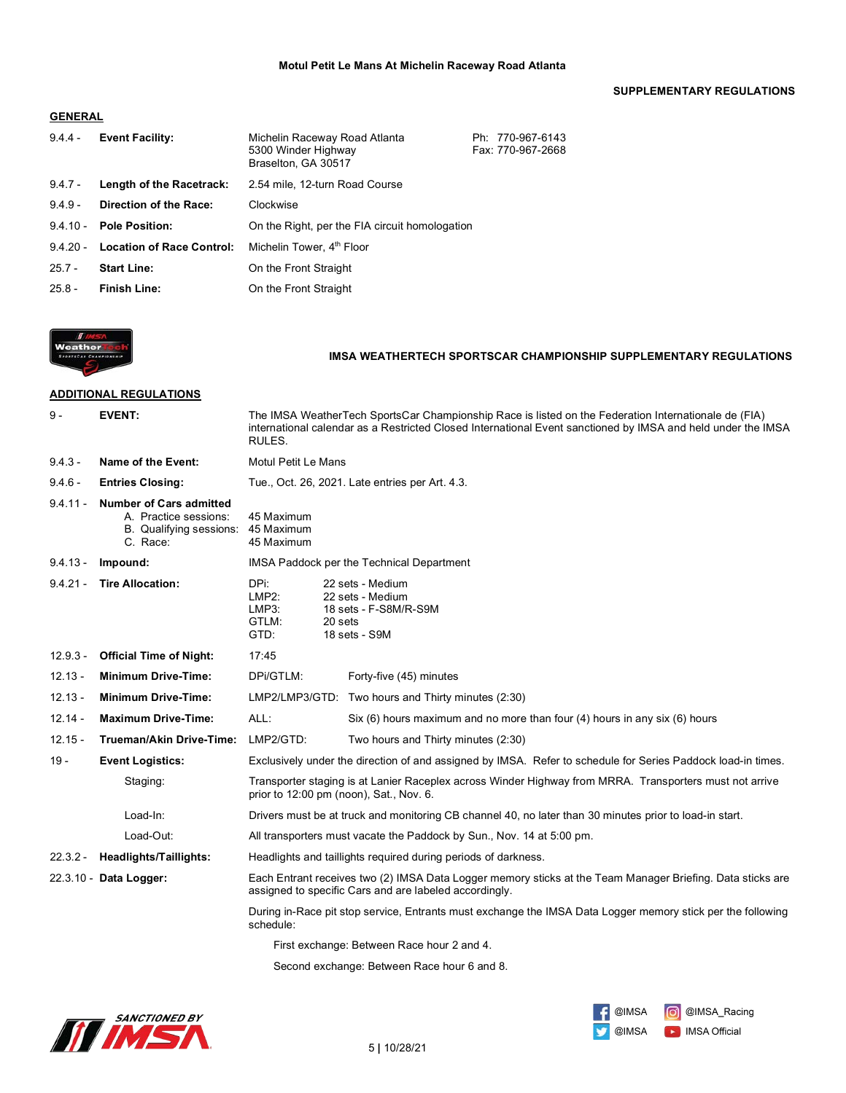### **SUPPLEMENTARY REGULATIONS**

### **GENERAL**

| $9.4.4 -$  | <b>Event Facility:</b>           | Michelin Raceway Road Atlanta<br>5300 Winder Highway<br>Braselton, GA 30517 | Ph: 770-967-6143<br>Fax: 770-967-2668 |
|------------|----------------------------------|-----------------------------------------------------------------------------|---------------------------------------|
| $9.4.7 -$  | Length of the Racetrack:         | 2.54 mile, 12-turn Road Course                                              |                                       |
| $9.4.9 -$  | Direction of the Race:           | Clockwise                                                                   |                                       |
| $9.4.10 -$ | <b>Pole Position:</b>            | On the Right, per the FIA circuit homologation                              |                                       |
| $94.20 -$  | <b>Location of Race Control:</b> | Michelin Tower, 4 <sup>th</sup> Floor                                       |                                       |
| $25.7 -$   | <b>Start Line:</b>               | On the Front Straight                                                       |                                       |
| $25.8 -$   | <b>Finish Line:</b>              | On the Front Straight                                                       |                                       |



### **IMSA WEATHERTECH SPORTSCAR CHAMPIONSHIP SUPPLEMENTARY REGULATIONS**

# **ADDITIONAL REGULATIONS**

| $9 -$      | <b>EVENT:</b>                                                                                  | The IMSA WeatherTech SportsCar Championship Race is listed on the Federation Internationale de (FIA)<br>international calendar as a Restricted Closed International Event sanctioned by IMSA and held under the IMSA<br>RULES. |                                                                                                                                                    |
|------------|------------------------------------------------------------------------------------------------|--------------------------------------------------------------------------------------------------------------------------------------------------------------------------------------------------------------------------------|----------------------------------------------------------------------------------------------------------------------------------------------------|
| $9.4.3 -$  | Name of the Event:                                                                             | <b>Motul Petit Le Mans</b>                                                                                                                                                                                                     |                                                                                                                                                    |
| $9.4.6 -$  | <b>Entries Closing:</b>                                                                        |                                                                                                                                                                                                                                | Tue., Oct. 26, 2021. Late entries per Art. 4.3.                                                                                                    |
| $9.4.11 -$ | <b>Number of Cars admitted</b><br>A. Practice sessions:<br>B. Qualifying sessions:<br>C. Race: | 45 Maximum<br>45 Maximum<br>45 Maximum                                                                                                                                                                                         |                                                                                                                                                    |
| $9.4.13 -$ | Impound:                                                                                       |                                                                                                                                                                                                                                | IMSA Paddock per the Technical Department                                                                                                          |
| $9.4.21 -$ | <b>Tire Allocation:</b>                                                                        | DPi:<br>22 sets - Medium<br>LMP2:<br>22 sets - Medium<br>18 sets - F-S8M/R-S9M<br>LMP3:<br>GTLM:<br>20 sets<br>GTD:<br>18 sets - S9M                                                                                           |                                                                                                                                                    |
| $12.9.3 -$ | <b>Official Time of Night:</b>                                                                 | 17:45                                                                                                                                                                                                                          |                                                                                                                                                    |
| $12.13 -$  | <b>Minimum Drive-Time:</b>                                                                     | DPi/GTLM:                                                                                                                                                                                                                      | Forty-five (45) minutes                                                                                                                            |
| $12.13 -$  | <b>Minimum Drive-Time:</b>                                                                     |                                                                                                                                                                                                                                | LMP2/LMP3/GTD: Two hours and Thirty minutes (2:30)                                                                                                 |
| $12.14 -$  | <b>Maximum Drive-Time:</b>                                                                     | ALL:                                                                                                                                                                                                                           | Six (6) hours maximum and no more than four (4) hours in any six (6) hours                                                                         |
| $12.15 -$  | <b>Trueman/Akin Drive-Time:</b>                                                                | LMP2/GTD:                                                                                                                                                                                                                      | Two hours and Thirty minutes (2:30)                                                                                                                |
| 19 -       | <b>Event Logistics:</b>                                                                        | Exclusively under the direction of and assigned by IMSA. Refer to schedule for Series Paddock load-in times.                                                                                                                   |                                                                                                                                                    |
|            | Staging:                                                                                       |                                                                                                                                                                                                                                | Transporter staging is at Lanier Raceplex across Winder Highway from MRRA. Transporters must not arrive<br>prior to 12:00 pm (noon), Sat., Nov. 6. |
|            | Load-In:                                                                                       |                                                                                                                                                                                                                                | Drivers must be at truck and monitoring CB channel 40, no later than 30 minutes prior to load-in start.                                            |
|            | Load-Out:                                                                                      |                                                                                                                                                                                                                                | All transporters must vacate the Paddock by Sun., Nov. 14 at 5:00 pm.                                                                              |
| $22.3.2 -$ | <b>Headlights/Taillights:</b>                                                                  | Headlights and taillights required during periods of darkness.                                                                                                                                                                 |                                                                                                                                                    |
|            | 22.3.10 - Data Logger:                                                                         | Each Entrant receives two (2) IMSA Data Logger memory sticks at the Team Manager Briefing. Data sticks are<br>assigned to specific Cars and are labeled accordingly.                                                           |                                                                                                                                                    |
|            |                                                                                                | During in-Race pit stop service, Entrants must exchange the IMSA Data Logger memory stick per the following<br>schedule:                                                                                                       |                                                                                                                                                    |
|            |                                                                                                |                                                                                                                                                                                                                                | First exchange: Between Race hour 2 and 4.                                                                                                         |

Second exchange: Between Race hour 6 and 8.



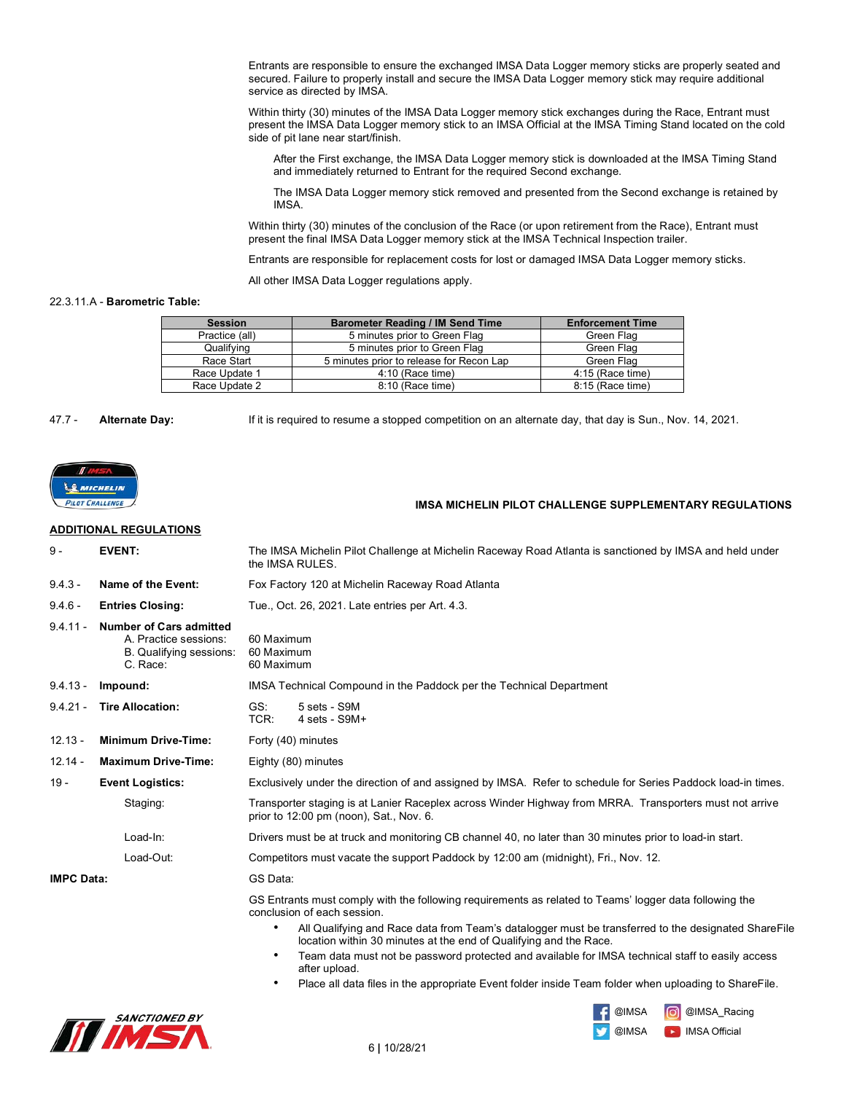Entrants are responsible to ensure the exchanged IMSA Data Logger memory sticks are properly seated and secured. Failure to properly install and secure the IMSA Data Logger memory stick may require additional service as directed by IMSA.

Within thirty (30) minutes of the IMSA Data Logger memory stick exchanges during the Race, Entrant must present the IMSA Data Logger memory stick to an IMSA Official at the IMSA Timing Stand located on the cold side of pit lane near start/finish.

After the First exchange, the IMSA Data Logger memory stick is downloaded at the IMSA Timing Stand and immediately returned to Entrant for the required Second exchange.

The IMSA Data Logger memory stick removed and presented from the Second exchange is retained by IMSA.

Within thirty (30) minutes of the conclusion of the Race (or upon retirement from the Race), Entrant must present the final IMSA Data Logger memory stick at the IMSA Technical Inspection trailer.

Entrants are responsible for replacement costs for lost or damaged IMSA Data Logger memory sticks.

All other IMSA Data Logger regulations apply.

#### 22.3.11.A - **Barometric Table:**

| <b>Session</b> | <b>Barometer Reading / IM Send Time</b>  | <b>Enforcement Time</b> |
|----------------|------------------------------------------|-------------------------|
| Practice (all) | 5 minutes prior to Green Flag            | Green Flag              |
| Qualifying     | 5 minutes prior to Green Flag            | Green Flag              |
| Race Start     | 5 minutes prior to release for Recon Lap | Green Flag              |
| Race Update 1  | 4:10 (Race time)                         | 4:15 (Race time)        |
| Race Update 2  | 8:10 (Race time)                         | 8:15 (Race time)        |

#### 47.7 - **Alternate Day:** If it is required to resume a stopped competition on an alternate day, that day is Sun., Nov. 14, 2021.

**MICHELIN** PILOT CHALLENGE

#### **IMSA MICHELIN PILOT CHALLENGE SUPPLEMENTARY REGULATIONS**

### **ADDITIONAL REGULATIONS**

| $9 -$                             | <b>EVENT:</b>                                                                                  | The IMSA Michelin Pilot Challenge at Michelin Raceway Road Atlanta is sanctioned by IMSA and held under<br>the IMSA RULES.                                                                                                                        |  |
|-----------------------------------|------------------------------------------------------------------------------------------------|---------------------------------------------------------------------------------------------------------------------------------------------------------------------------------------------------------------------------------------------------|--|
| $9.4.3 -$                         | Name of the Event:                                                                             | Fox Factory 120 at Michelin Raceway Road Atlanta                                                                                                                                                                                                  |  |
| $9.4.6 -$                         | <b>Entries Closing:</b>                                                                        | Tue., Oct. 26, 2021. Late entries per Art. 4.3.                                                                                                                                                                                                   |  |
| $9.4.11 -$                        | <b>Number of Cars admitted</b><br>A. Practice sessions:<br>B. Qualifying sessions:<br>C. Race: | 60 Maximum<br>60 Maximum<br>60 Maximum                                                                                                                                                                                                            |  |
| $9.4.13 -$                        | Impound:                                                                                       | IMSA Technical Compound in the Paddock per the Technical Department                                                                                                                                                                               |  |
| $9.4.21 -$                        | <b>Tire Allocation:</b>                                                                        | GS:<br>5 sets - S9M<br>TCR:<br>$4 \text{ sets} - \text{S}9M +$                                                                                                                                                                                    |  |
| $12.13 -$                         | <b>Minimum Drive-Time:</b>                                                                     | Forty (40) minutes                                                                                                                                                                                                                                |  |
| $12.14 -$                         | <b>Maximum Drive-Time:</b>                                                                     | Eighty (80) minutes                                                                                                                                                                                                                               |  |
| $19 -$<br><b>Event Logistics:</b> |                                                                                                | Exclusively under the direction of and assigned by IMSA. Refer to schedule for Series Paddock load-in times.                                                                                                                                      |  |
|                                   | Staging:                                                                                       | Transporter staging is at Lanier Raceplex across Winder Highway from MRRA. Transporters must not arrive<br>prior to 12:00 pm (noon), Sat., Nov. 6.                                                                                                |  |
|                                   | Load-In:                                                                                       | Drivers must be at truck and monitoring CB channel 40, no later than 30 minutes prior to load-in start.                                                                                                                                           |  |
|                                   | Load-Out:                                                                                      | Competitors must vacate the support Paddock by 12:00 am (midnight), Fri., Nov. 12.                                                                                                                                                                |  |
| <b>IMPC Data:</b>                 |                                                                                                | GS Data:                                                                                                                                                                                                                                          |  |
|                                   |                                                                                                | GS Entrants must comply with the following requirements as related to Teams' logger data following the<br>conclusion of each session.<br>All Qualifying and Race data from Team's datalogger must be transferred to the designated ShareFile<br>٠ |  |
|                                   |                                                                                                | location within 30 minutes at the end of Qualifying and the Race.                                                                                                                                                                                 |  |
|                                   |                                                                                                | Team data must not be password protected and available for IMSA technical staff to easily access<br>after upload.                                                                                                                                 |  |
|                                   |                                                                                                | Place all data files in the appropriate Event folder inside Team folder when uploading to ShareFile.<br>٠                                                                                                                                         |  |





**D** IMSA Official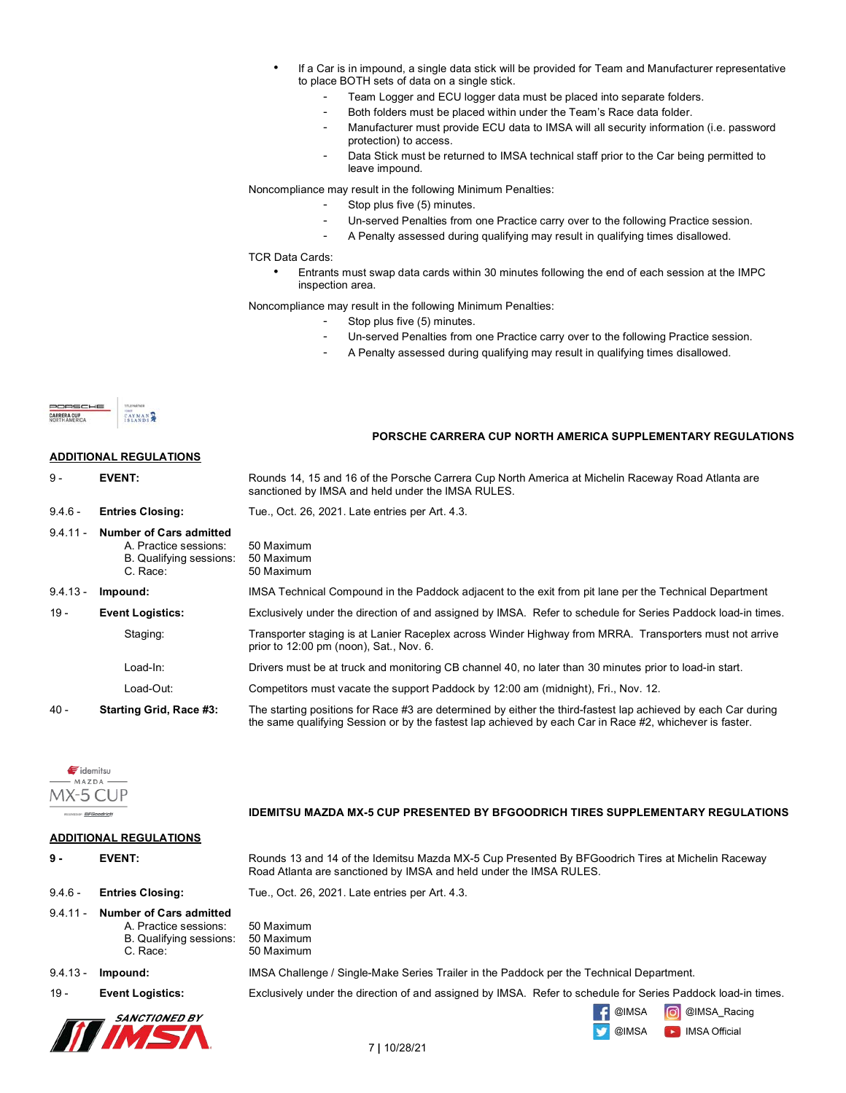- If a Car is in impound, a single data stick will be provided for Team and Manufacturer representative to place BOTH sets of data on a single stick.
	- Team Logger and ECU logger data must be placed into separate folders.
	- Both folders must be placed within under the Team's Race data folder.
	- Manufacturer must provide ECU data to IMSA will all security information (i.e. password protection) to access.
	- Data Stick must be returned to IMSA technical staff prior to the Car being permitted to leave impound.

Noncompliance may result in the following Minimum Penalties:

- Stop plus five (5) minutes.
- Un-served Penalties from one Practice carry over to the following Practice session.
- A Penalty assessed during qualifying may result in qualifying times disallowed.

TCR Data Cards:

• Entrants must swap data cards within 30 minutes following the end of each session at the IMPC inspection area.

Noncompliance may result in the following Minimum Penalties:

- Stop plus five (5) minutes.
- Un-served Penalties from one Practice carry over to the following Practice session.
- A Penalty assessed during qualifying may result in qualifying times disallowed.



|                                   |                                                                                                | PORSCHE CARRERA CUP NORTH AMERICA SUPPLEMENTARY REGULATIONS                                                                                                                                                              |
|-----------------------------------|------------------------------------------------------------------------------------------------|--------------------------------------------------------------------------------------------------------------------------------------------------------------------------------------------------------------------------|
|                                   | <b>ADDITIONAL REGULATIONS</b>                                                                  |                                                                                                                                                                                                                          |
| 9 -                               | <b>EVENT:</b>                                                                                  | Rounds 14, 15 and 16 of the Porsche Carrera Cup North America at Michelin Raceway Road Atlanta are<br>sanctioned by IMSA and held under the IMSA RULES.                                                                  |
| $9.4.6 -$                         | <b>Entries Closing:</b>                                                                        | Tue., Oct. 26, 2021. Late entries per Art. 4.3.                                                                                                                                                                          |
| $9.4.11 -$                        | <b>Number of Cars admitted</b><br>A. Practice sessions:<br>B. Qualifying sessions:<br>C. Race: | 50 Maximum<br>50 Maximum<br>50 Maximum                                                                                                                                                                                   |
| $9.4.13 -$                        | Impound:                                                                                       | IMSA Technical Compound in the Paddock adjacent to the exit from pit lane per the Technical Department                                                                                                                   |
| $19 -$                            | <b>Event Logistics:</b>                                                                        | Exclusively under the direction of and assigned by IMSA. Refer to schedule for Series Paddock load-in times.                                                                                                             |
|                                   | Staging:                                                                                       | Transporter staging is at Lanier Raceplex across Winder Highway from MRRA. Transporters must not arrive<br>prior to 12:00 pm (noon), Sat., Nov. 6.                                                                       |
|                                   | Load-In:                                                                                       | Drivers must be at truck and monitoring CB channel 40, no later than 30 minutes prior to load-in start.                                                                                                                  |
|                                   | Load-Out:                                                                                      | Competitors must vacate the support Paddock by 12:00 am (midnight), Fri., Nov. 12.                                                                                                                                       |
| $40 -$<br>Starting Grid, Race #3: |                                                                                                | The starting positions for Race #3 are determined by either the third-fastest lap achieved by each Car during<br>the same qualifying Session or by the fastest lap achieved by each Car in Race #2, whichever is faster. |



 **IDEMITSU MAZDA MX-5 CUP PRESENTED BY BFGOODRICH TIRES SUPPLEMENTARY REGULATIONS**

| <b>ADDITIONAL REGULATIONS</b> |                                                                                                       |                                                                                                                                                                         |  |  |
|-------------------------------|-------------------------------------------------------------------------------------------------------|-------------------------------------------------------------------------------------------------------------------------------------------------------------------------|--|--|
| 9 -                           | <b>EVENT:</b>                                                                                         | Rounds 13 and 14 of the Idemitsu Mazda MX-5 Cup Presented By BFGoodrich Tires at Michelin Raceway<br>Road Atlanta are sanctioned by IMSA and held under the IMSA RULES. |  |  |
| $9.4.6 -$                     | <b>Entries Closing:</b>                                                                               | Tue., Oct. 26, 2021. Late entries per Art. 4.3.                                                                                                                         |  |  |
| $9.4.11 -$                    | <b>Number of Cars admitted</b><br>A. Practice sessions:<br><b>B.</b> Qualifying sessions:<br>C. Race: | 50 Maximum<br>50 Maximum<br>50 Maximum                                                                                                                                  |  |  |
| $9.4.13 -$                    | Impound:                                                                                              | IMSA Challenge / Single-Make Series Trailer in the Paddock per the Technical Department.                                                                                |  |  |
| $19 -$                        | <b>Event Logistics:</b>                                                                               | Exclusively under the direction of and assigned by IMSA. Refer to schedule for Series Paddock load-in times.                                                            |  |  |
|                               | <i>SANCTIONED BY</i>                                                                                  | രി<br>@IMSA Racing<br>@IMSA<br>@IMSA<br><b>IMSA Official</b><br><b>SEC</b>                                                                                              |  |  |

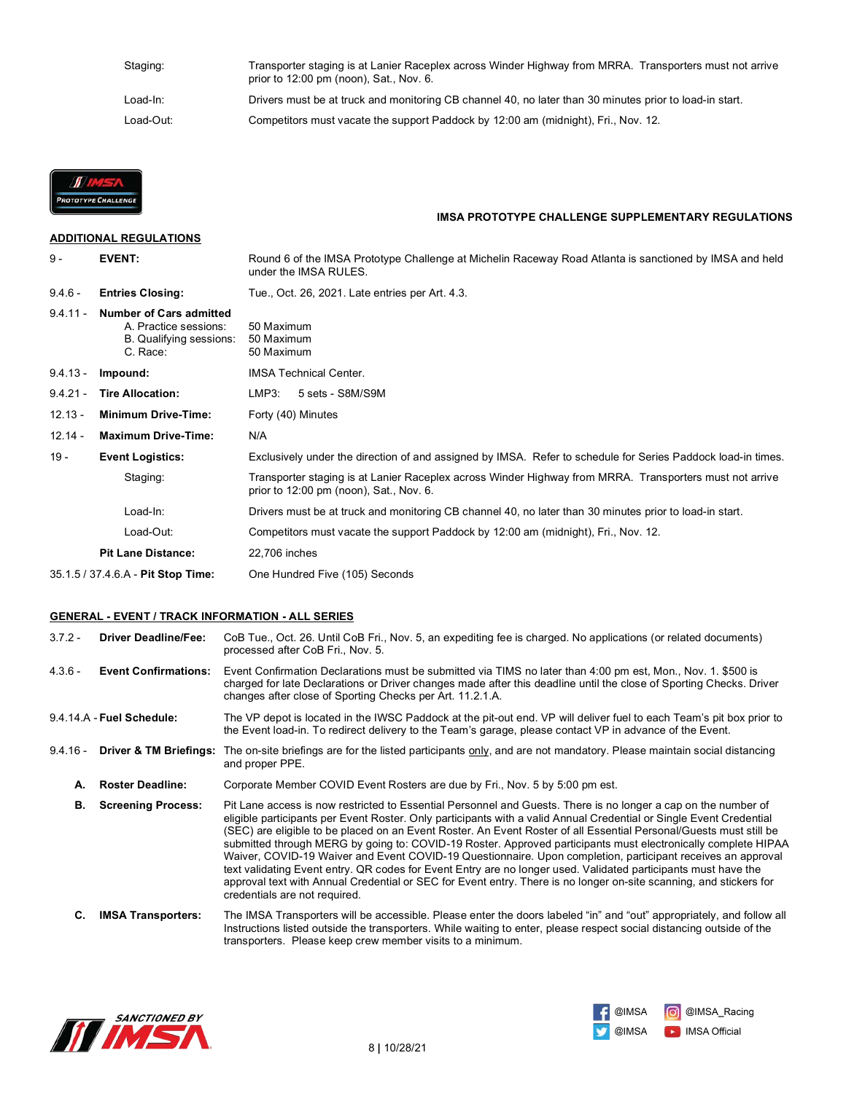| Staging:  | Transporter staging is at Lanier Raceplex across Winder Highway from MRRA. Transporters must not arrive<br>prior to $12:00$ pm (noon), Sat., Nov. 6. |
|-----------|------------------------------------------------------------------------------------------------------------------------------------------------------|
| Load-In:  | Drivers must be at truck and monitoring CB channel 40, no later than 30 minutes prior to load-in start.                                              |
| Load-Out: | Competitors must vacate the support Paddock by 12:00 am (midnight), Fri., Nov. 12.                                                                   |



# **ADDITIONAL REGULATIONS**

# **IMSA PROTOTYPE CHALLENGE SUPPLEMENTARY REGULATIONS**

| $9 -$                                                                                                | <b>EVENT:</b>                                                                           | Round 6 of the IMSA Prototype Challenge at Michelin Raceway Road Atlanta is sanctioned by IMSA and held<br>under the IMSA RULES. |  |  |
|------------------------------------------------------------------------------------------------------|-----------------------------------------------------------------------------------------|----------------------------------------------------------------------------------------------------------------------------------|--|--|
| $9.4.6 -$                                                                                            | <b>Entries Closing:</b>                                                                 | Tue., Oct. 26, 2021. Late entries per Art. 4.3.                                                                                  |  |  |
| $9.4.11 -$                                                                                           | Number of Cars admitted<br>A. Practice sessions:<br>B. Qualifying sessions:<br>C. Race: | 50 Maximum<br>50 Maximum<br>50 Maximum                                                                                           |  |  |
| $9.4.13 -$                                                                                           | Impound:                                                                                | <b>IMSA Technical Center.</b>                                                                                                    |  |  |
| $9.4.21 -$                                                                                           | <b>Tire Allocation:</b>                                                                 | LMP3:<br>5 sets - S8M/S9M                                                                                                        |  |  |
| $12.13 -$                                                                                            | <b>Minimum Drive-Time:</b>                                                              | Forty (40) Minutes                                                                                                               |  |  |
| $12.14 -$                                                                                            | <b>Maximum Drive-Time:</b>                                                              | N/A                                                                                                                              |  |  |
| $19 -$<br><b>Event Logistics:</b><br>Staging:<br>prior to 12:00 pm (noon), Sat., Nov. 6.<br>Load-In: |                                                                                         | Exclusively under the direction of and assigned by IMSA. Refer to schedule for Series Paddock load-in times.                     |  |  |
|                                                                                                      |                                                                                         | Transporter staging is at Lanier Raceplex across Winder Highway from MRRA. Transporters must not arrive                          |  |  |
|                                                                                                      |                                                                                         | Drivers must be at truck and monitoring CB channel 40, no later than 30 minutes prior to load-in start.                          |  |  |
|                                                                                                      | Load-Out:                                                                               | Competitors must vacate the support Paddock by 12:00 am (midnight), Fri., Nov. 12.                                               |  |  |
|                                                                                                      | <b>Pit Lane Distance:</b>                                                               | 22,706 inches                                                                                                                    |  |  |
| 35.1.5 / 37.4.6.A - Pit Stop Time:                                                                   |                                                                                         | One Hundred Five (105) Seconds                                                                                                   |  |  |

### **GENERAL - EVENT / TRACK INFORMATION - ALL SERIES**

3.7.2 - **Driver Deadline/Fee:** CoB Tue., Oct. 26. Until CoB Fri., Nov. 5, an expediting fee is charged. No applications (or related documents) processed after CoB Fri., Nov. 5.

4.3.6 - **Event Confirmations:** Event Confirmation Declarations must be submitted via TIMS no later than 4:00 pm est, Mon., Nov. 1. \$500 is charged for late Declarations or Driver changes made after this deadline until the close of Sporting Checks. Driver changes after close of Sporting Checks per Art. 11.2.1.A.

9.4.14.A - **Fuel Schedule:** The VP depot is located in the IWSC Paddock at the pit-out end. VP will deliver fuel to each Team's pit box prior to the Event load-in. To redirect delivery to the Team's garage, please contact VP in advance of the Event.

9.4.16 - **Driver & TM Briefings:** The on-site briefings are for the listed participants only, and are not mandatory. Please maintain social distancing and proper PPE.

**A. Roster Deadline:** Corporate Member COVID Event Rosters are due by Fri., Nov. 5 by 5:00 pm est.

 **B. Screening Process:** Pit Lane access is now restricted to Essential Personnel and Guests. There is no longer a cap on the number of eligible participants per Event Roster. Only participants with a valid Annual Credential or Single Event Credential (SEC) are eligible to be placed on an Event Roster. An Event Roster of all Essential Personal/Guests must still be submitted through MERG by going to: COVID-19 Roster. Approved participants must electronically complete HIPAA Waiver, COVID-19 Waiver and Event COVID-19 Questionnaire. Upon completion, participant receives an approval text validating Event entry. QR codes for Event Entry are no longer used. Validated participants must have the approval text with Annual Credential or SEC for Event entry. There is no longer on-site scanning, and stickers for credentials are not required.

 **C. IMSA Transporters:** The IMSA Transporters will be accessible. Please enter the doors labeled "in" and "out" appropriately, and follow all Instructions listed outside the transporters. While waiting to enter, please respect social distancing outside of the transporters. Please keep crew member visits to a minimum.



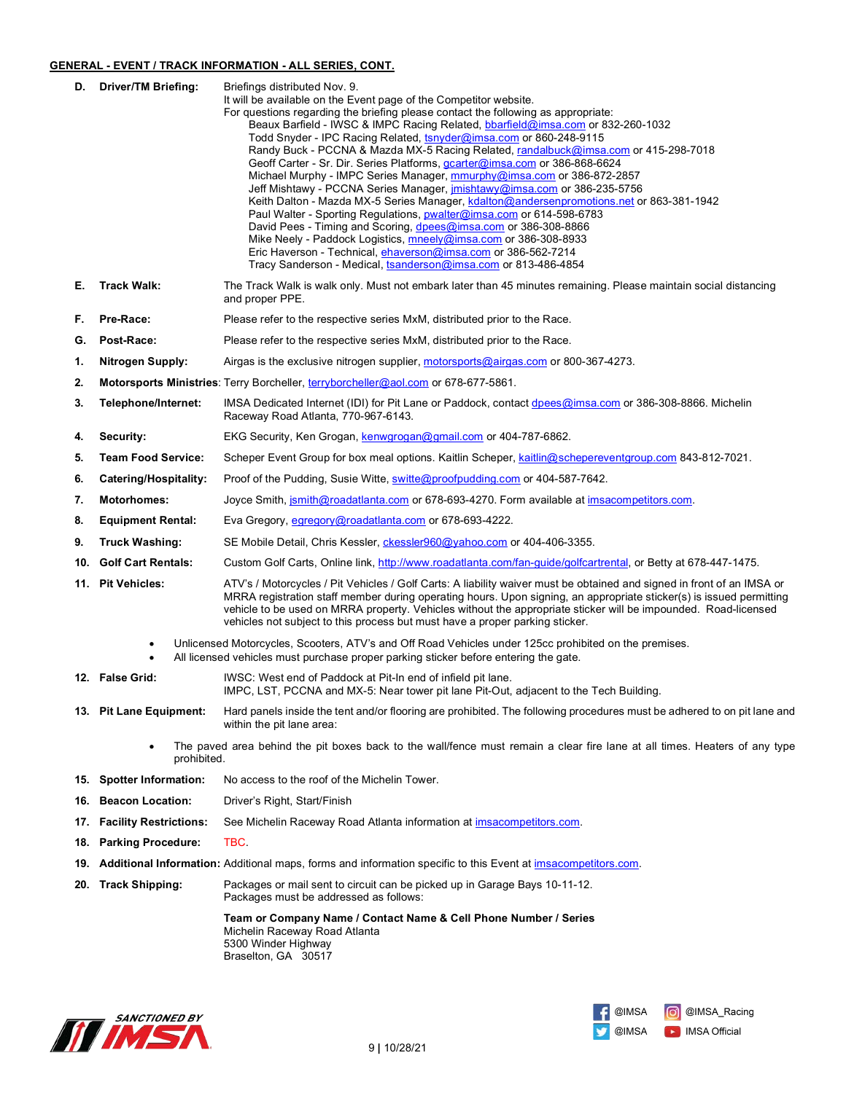### **GENERAL - EVENT / TRACK INFORMATION - ALL SERIES, CONT.**

| D.  | <b>Driver/TM Briefing:</b>    | Briefings distributed Nov. 9.<br>It will be available on the Event page of the Competitor website.<br>For questions regarding the briefing please contact the following as appropriate:<br>Beaux Barfield - IWSC & IMPC Racing Related, bbarfield@imsa.com or 832-260-1032<br>Todd Snyder - IPC Racing Related, tsnyder@imsa.com or 860-248-9115<br>Randy Buck - PCCNA & Mazda MX-5 Racing Related, randalbuck@imsa.com or 415-298-7018<br>Geoff Carter - Sr. Dir. Series Platforms, <i>gcarter@imsa.com</i> or 386-868-6624<br>Michael Murphy - IMPC Series Manager, mmurphy@imsa.com or 386-872-2857<br>Jeff Mishtawy - PCCNA Series Manager, <i>imishtawy@imsa.com</i> or 386-235-5756<br>Keith Dalton - Mazda MX-5 Series Manager, kdalton@andersenpromotions.net or 863-381-1942<br>Paul Walter - Sporting Regulations, pwalter@imsa.com or 614-598-6783<br>David Pees - Timing and Scoring, dpees@imsa.com or 386-308-8866<br>Mike Neely - Paddock Logistics, mneely@imsa.com or 386-308-8933<br>Eric Haverson - Technical, ehaverson@imsa.com or 386-562-7214<br>Tracy Sanderson - Medical, tsanderson@imsa.com or 813-486-4854 |  |  |
|-----|-------------------------------|----------------------------------------------------------------------------------------------------------------------------------------------------------------------------------------------------------------------------------------------------------------------------------------------------------------------------------------------------------------------------------------------------------------------------------------------------------------------------------------------------------------------------------------------------------------------------------------------------------------------------------------------------------------------------------------------------------------------------------------------------------------------------------------------------------------------------------------------------------------------------------------------------------------------------------------------------------------------------------------------------------------------------------------------------------------------------------------------------------------------------------------|--|--|
| Е.  | <b>Track Walk:</b>            | The Track Walk is walk only. Must not embark later than 45 minutes remaining. Please maintain social distancing<br>and proper PPE.                                                                                                                                                                                                                                                                                                                                                                                                                                                                                                                                                                                                                                                                                                                                                                                                                                                                                                                                                                                                     |  |  |
| F.  | Pre-Race:                     | Please refer to the respective series MxM, distributed prior to the Race.                                                                                                                                                                                                                                                                                                                                                                                                                                                                                                                                                                                                                                                                                                                                                                                                                                                                                                                                                                                                                                                              |  |  |
| G.  | Post-Race:                    | Please refer to the respective series MxM, distributed prior to the Race.                                                                                                                                                                                                                                                                                                                                                                                                                                                                                                                                                                                                                                                                                                                                                                                                                                                                                                                                                                                                                                                              |  |  |
| 1.  | <b>Nitrogen Supply:</b>       | Airgas is the exclusive nitrogen supplier, motorsports@airgas.com or 800-367-4273.                                                                                                                                                                                                                                                                                                                                                                                                                                                                                                                                                                                                                                                                                                                                                                                                                                                                                                                                                                                                                                                     |  |  |
| 2.  |                               | Motorsports Ministries: Terry Borcheller, terryborcheller@aol.com or 678-677-5861.                                                                                                                                                                                                                                                                                                                                                                                                                                                                                                                                                                                                                                                                                                                                                                                                                                                                                                                                                                                                                                                     |  |  |
| 3.  | Telephone/Internet:           | IMSA Dedicated Internet (IDI) for Pit Lane or Paddock, contact dpees@imsa.com or 386-308-8866. Michelin<br>Raceway Road Atlanta, 770-967-6143.                                                                                                                                                                                                                                                                                                                                                                                                                                                                                                                                                                                                                                                                                                                                                                                                                                                                                                                                                                                         |  |  |
| 4.  | Security:                     | EKG Security, Ken Grogan, kenwgrogan@gmail.com or 404-787-6862.                                                                                                                                                                                                                                                                                                                                                                                                                                                                                                                                                                                                                                                                                                                                                                                                                                                                                                                                                                                                                                                                        |  |  |
| 5.  | <b>Team Food Service:</b>     | Scheper Event Group for box meal options. Kaitlin Scheper, kaitlin@schepereventgroup.com 843-812-7021.                                                                                                                                                                                                                                                                                                                                                                                                                                                                                                                                                                                                                                                                                                                                                                                                                                                                                                                                                                                                                                 |  |  |
| 6.  | Catering/Hospitality:         | Proof of the Pudding, Susie Witte, switte@proofpudding.com or 404-587-7642.                                                                                                                                                                                                                                                                                                                                                                                                                                                                                                                                                                                                                                                                                                                                                                                                                                                                                                                                                                                                                                                            |  |  |
| 7.  | <b>Motorhomes:</b>            | Joyce Smith, jsmith@roadatlanta.com or 678-693-4270. Form available at imsacompetitors.com.                                                                                                                                                                                                                                                                                                                                                                                                                                                                                                                                                                                                                                                                                                                                                                                                                                                                                                                                                                                                                                            |  |  |
| 8.  | <b>Equipment Rental:</b>      | Eva Gregory, egregory@roadatlanta.com or 678-693-4222.                                                                                                                                                                                                                                                                                                                                                                                                                                                                                                                                                                                                                                                                                                                                                                                                                                                                                                                                                                                                                                                                                 |  |  |
| 9.  | <b>Truck Washing:</b>         | SE Mobile Detail, Chris Kessler, ckessler960@yahoo.com or 404-406-3355.                                                                                                                                                                                                                                                                                                                                                                                                                                                                                                                                                                                                                                                                                                                                                                                                                                                                                                                                                                                                                                                                |  |  |
| 10. | <b>Golf Cart Rentals:</b>     | Custom Golf Carts, Online link, http://www.roadatlanta.com/fan-guide/golfcartrental, or Betty at 678-447-1475.                                                                                                                                                                                                                                                                                                                                                                                                                                                                                                                                                                                                                                                                                                                                                                                                                                                                                                                                                                                                                         |  |  |
|     | 11. Pit Vehicles:             | ATV's / Motorcycles / Pit Vehicles / Golf Carts: A liability waiver must be obtained and signed in front of an IMSA or<br>MRRA registration staff member during operating hours. Upon signing, an appropriate sticker(s) is issued permitting<br>vehicle to be used on MRRA property. Vehicles without the appropriate sticker will be impounded. Road-licensed<br>vehicles not subject to this process but must have a proper parking sticker.                                                                                                                                                                                                                                                                                                                                                                                                                                                                                                                                                                                                                                                                                        |  |  |
|     |                               | Unlicensed Motorcycles, Scooters, ATV's and Off Road Vehicles under 125cc prohibited on the premises.<br>All licensed vehicles must purchase proper parking sticker before entering the gate.                                                                                                                                                                                                                                                                                                                                                                                                                                                                                                                                                                                                                                                                                                                                                                                                                                                                                                                                          |  |  |
|     | 12. False Grid:               | IWSC: West end of Paddock at Pit-In end of infield pit lane.<br>IMPC, LST, PCCNA and MX-5: Near tower pit lane Pit-Out, adjacent to the Tech Building.                                                                                                                                                                                                                                                                                                                                                                                                                                                                                                                                                                                                                                                                                                                                                                                                                                                                                                                                                                                 |  |  |
|     | 13. Pit Lane Equipment:       | Hard panels inside the tent and/or flooring are prohibited. The following procedures must be adhered to on pit lane and<br>within the pit lane area:                                                                                                                                                                                                                                                                                                                                                                                                                                                                                                                                                                                                                                                                                                                                                                                                                                                                                                                                                                                   |  |  |
|     | prohibited.                   | The paved area behind the pit boxes back to the wall/fence must remain a clear fire lane at all times. Heaters of any type                                                                                                                                                                                                                                                                                                                                                                                                                                                                                                                                                                                                                                                                                                                                                                                                                                                                                                                                                                                                             |  |  |
| 15. | <b>Spotter Information:</b>   | No access to the roof of the Michelin Tower.                                                                                                                                                                                                                                                                                                                                                                                                                                                                                                                                                                                                                                                                                                                                                                                                                                                                                                                                                                                                                                                                                           |  |  |
| 16. | <b>Beacon Location:</b>       | Driver's Right, Start/Finish                                                                                                                                                                                                                                                                                                                                                                                                                                                                                                                                                                                                                                                                                                                                                                                                                                                                                                                                                                                                                                                                                                           |  |  |
| 17. | <b>Facility Restrictions:</b> | See Michelin Raceway Road Atlanta information at <i>imsacompetitors.com</i> .                                                                                                                                                                                                                                                                                                                                                                                                                                                                                                                                                                                                                                                                                                                                                                                                                                                                                                                                                                                                                                                          |  |  |
| 18. | <b>Parking Procedure:</b>     | TBC.                                                                                                                                                                                                                                                                                                                                                                                                                                                                                                                                                                                                                                                                                                                                                                                                                                                                                                                                                                                                                                                                                                                                   |  |  |
| 19. |                               | <b>Additional Information:</b> Additional maps, forms and information specific to this Event at imsacompetitors.com.                                                                                                                                                                                                                                                                                                                                                                                                                                                                                                                                                                                                                                                                                                                                                                                                                                                                                                                                                                                                                   |  |  |
| 20. | <b>Track Shipping:</b>        | Packages or mail sent to circuit can be picked up in Garage Bays 10-11-12.<br>Packages must be addressed as follows:                                                                                                                                                                                                                                                                                                                                                                                                                                                                                                                                                                                                                                                                                                                                                                                                                                                                                                                                                                                                                   |  |  |
|     |                               | Team or Company Name / Contact Name & Cell Phone Number / Series<br>Michelin Raceway Road Atlanta<br>5300 Winder Highway<br>Braselton, GA 30517                                                                                                                                                                                                                                                                                                                                                                                                                                                                                                                                                                                                                                                                                                                                                                                                                                                                                                                                                                                        |  |  |



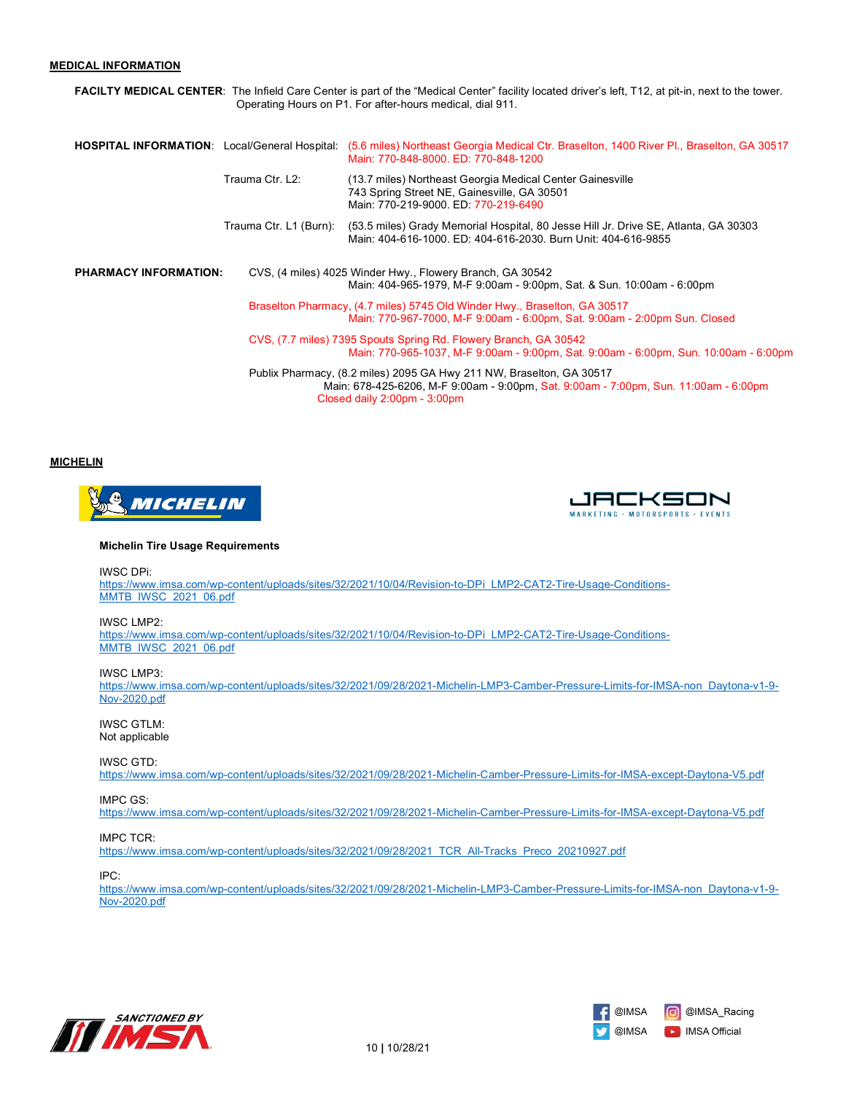### **MEDICAL INFORMATION**

**FACILTY MEDICAL CENTER**: The Infield Care Center is part of the "Medical Center" facility located driver's left, T12, at pit-in, next to the tower. Operating Hours on P1. For after-hours medical, dial 911.

| <b>HOSPITAL INFORMATION:</b> Local/General Hospital: |                        | (5.6 miles) Northeast Georgia Medical Ctr. Braselton, 1400 River Pl., Braselton, GA 30517<br>Main: 770-848-8000, ED: 770-848-1200                                                            |
|------------------------------------------------------|------------------------|----------------------------------------------------------------------------------------------------------------------------------------------------------------------------------------------|
|                                                      | Trauma Ctr. L2:        | (13.7 miles) Northeast Georgia Medical Center Gainesville<br>743 Spring Street NE, Gainesville, GA 30501<br>Main: 770-219-9000. ED: 770-219-6490                                             |
|                                                      | Trauma Ctr. L1 (Burn): | (53.5 miles) Grady Memorial Hospital, 80 Jesse Hill Jr. Drive SE, Atlanta, GA 30303<br>Main: 404-616-1000, ED: 404-616-2030, Burn Unit: 404-616-9855                                         |
| <b>PHARMACY INFORMATION:</b>                         |                        | CVS, (4 miles) 4025 Winder Hwy., Flowery Branch, GA 30542<br>Main: 404-965-1979, M-F 9:00am - 9:00pm, Sat. & Sun. 10:00am - 6:00pm                                                           |
|                                                      |                        | Braselton Pharmacy, (4.7 miles) 5745 Old Winder Hwy., Braselton, GA 30517<br>Main: 770-967-7000, M-F 9:00am - 6:00pm, Sat. 9:00am - 2:00pm Sun. Closed                                       |
|                                                      |                        | CVS, (7.7 miles) 7395 Spouts Spring Rd. Flowery Branch, GA 30542<br>Main: 770-965-1037, M-F 9:00am - 9:00pm, Sat. 9:00am - 6:00pm, Sun. 10:00am - 6:00pm                                     |
|                                                      |                        | Publix Pharmacy, (8.2 miles) 2095 GA Hwy 211 NW, Braselton, GA 30517<br>Main: 678-425-6206, M-F 9:00am - 9:00pm, Sat. 9:00am - 7:00pm, Sun. 11:00am - 6:00pm<br>Closed daily 2:00pm - 3:00pm |

#### **MICHELIN**





#### **Michelin Tire Usage Requirements**

IWSC DPi:

https://www.imsa.com/wp-content/uploads/sites/32/2021/10/04/Revision-to-DPi\_LMP2-CAT2-Tire-Usage-Conditions-MMTB\_IWSC\_2021\_06.pdf

IWSC LMP2:

https://www.imsa.com/wp-content/uploads/sites/32/2021/10/04/Revision-to-DPi\_LMP2-CAT2-Tire-Usage-Conditions-MMTB\_IWSC\_2021\_06.pdf

#### IWSC LMP3:

https://www.imsa.com/wp-content/uploads/sites/32/2021/09/28/2021-Michelin-LMP3-Camber-Pressure-Limits-for-IMSA-non\_Daytona-v1-9- Nov-2020.pdf

IWSC GTLM: Not applicable

### IWSC GTD:

https://www.imsa.com/wp-content/uploads/sites/32/2021/09/28/2021-Michelin-Camber-Pressure-Limits-for-IMSA-except-Daytona-V5.pdf

#### IMPC GS:

https://www.imsa.com/wp-content/uploads/sites/32/2021/09/28/2021-Michelin-Camber-Pressure-Limits-for-IMSA-except-Daytona-V5.pdf

#### IMPC TCR:

https://www.imsa.com/wp-content/uploads/sites/32/2021/09/28/2021\_TCR\_All-Tracks\_Preco\_20210927.pdf

#### IPC:

https://www.imsa.com/wp-content/uploads/sites/32/2021/09/28/2021-Michelin-LMP3-Camber-Pressure-Limits-for-IMSA-non\_Daytona-v1-9- Nov-2020.pdf



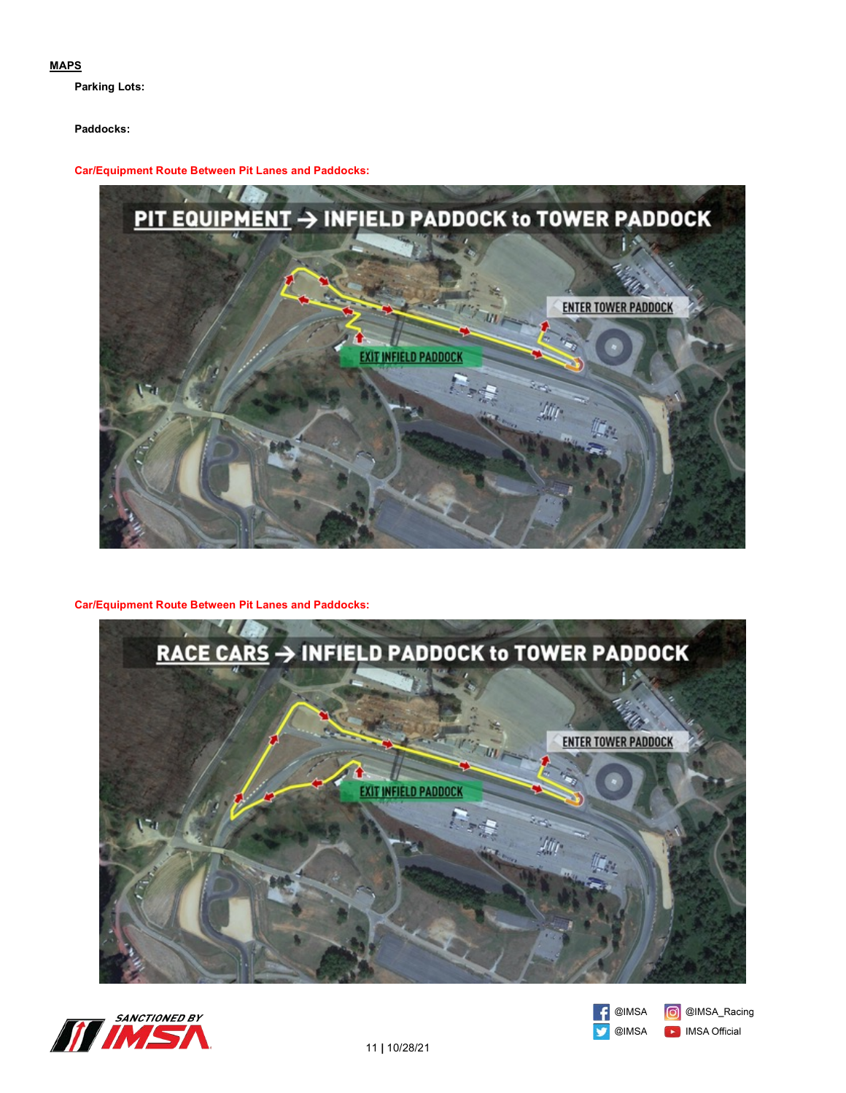### **MAPS**

**Parking Lots:**

# **Paddocks:**

**Car/Equipment Route Between Pit Lanes and Paddocks:** 



# **Car/Equipment Route Between Pit Lanes and Paddocks:**







C @IMSA\_Racing **D** IMSA Official